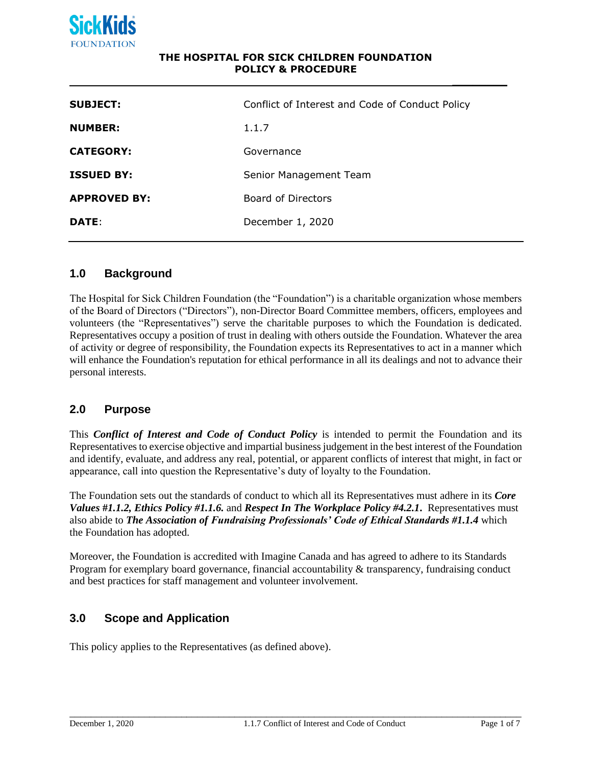

#### **THE HOSPITAL FOR SICK CHILDREN FOUNDATION POLICY & PROCEDURE**

| <b>SUBJECT:</b>     | Conflict of Interest and Code of Conduct Policy |
|---------------------|-------------------------------------------------|
| <b>NUMBER:</b>      | 1.1.7                                           |
| <b>CATEGORY:</b>    | Governance                                      |
| <b>ISSUED BY:</b>   | Senior Management Team                          |
| <b>APPROVED BY:</b> | Board of Directors                              |
| DATE:               | December 1, 2020                                |
|                     |                                                 |

### **1.0 Background**

The Hospital for Sick Children Foundation (the "Foundation") is a charitable organization whose members of the Board of Directors ("Directors"), non-Director Board Committee members, officers, employees and volunteers (the "Representatives") serve the charitable purposes to which the Foundation is dedicated. Representatives occupy a position of trust in dealing with others outside the Foundation. Whatever the area of activity or degree of responsibility, the Foundation expects its Representatives to act in a manner which will enhance the Foundation's reputation for ethical performance in all its dealings and not to advance their personal interests.

#### **2.0 Purpose**

This *Conflict of Interest and Code of Conduct Policy* is intended to permit the Foundation and its Representatives to exercise objective and impartial business judgement in the best interest of the Foundation and identify, evaluate, and address any real, potential, or apparent conflicts of interest that might, in fact or appearance, call into question the Representative's duty of loyalty to the Foundation.

The Foundation sets out the standards of conduct to which all its Representatives must adhere in its *Core Values* **#***1.1.2, Ethics Policy #1.1.6.* and *Respect In The Workplace Policy #4.2.1***.** Representatives must also abide to *The Association of Fundraising Professionals' Code of Ethical Standards #1.1.4* which the Foundation has adopted.

Moreover, the Foundation is accredited with Imagine Canada and has agreed to adhere to its Standards Program for exemplary board governance, financial accountability & transparency, fundraising conduct and best practices for staff management and volunteer involvement.

## **3.0 Scope and Application**

This policy applies to the Representatives (as defined above).

\_\_\_\_\_\_\_\_\_\_\_\_\_\_\_\_\_\_\_\_\_\_\_\_\_\_\_\_\_\_\_\_\_\_\_\_\_\_\_\_\_\_\_\_\_\_\_\_\_\_\_\_\_\_\_\_\_\_\_\_\_\_\_\_\_\_\_\_\_\_\_\_\_\_\_\_\_\_\_\_\_\_\_\_\_

**\_\_\_\_\_\_\_\_**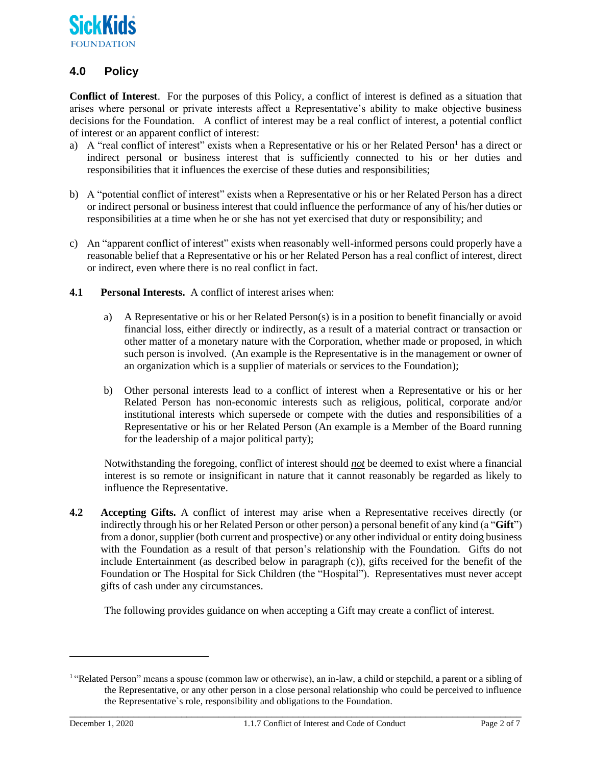

# **4.0 Policy**

**Conflict of Interest**. For the purposes of this Policy, a conflict of interest is defined as a situation that arises where personal or private interests affect a Representative's ability to make objective business decisions for the Foundation. A conflict of interest may be a real conflict of interest, a potential conflict of interest or an apparent conflict of interest:

- a) A "real conflict of interest" exists when a Representative or his or her Related Person<sup>1</sup> has a direct or indirect personal or business interest that is sufficiently connected to his or her duties and responsibilities that it influences the exercise of these duties and responsibilities;
- b) A "potential conflict of interest" exists when a Representative or his or her Related Person has a direct or indirect personal or business interest that could influence the performance of any of his/her duties or responsibilities at a time when he or she has not yet exercised that duty or responsibility; and
- c) An "apparent conflict of interest" exists when reasonably well-informed persons could properly have a reasonable belief that a Representative or his or her Related Person has a real conflict of interest, direct or indirect, even where there is no real conflict in fact.
- **4.1 Personal Interests.** A conflict of interest arises when:
	- a) A Representative or his or her Related Person(s) is in a position to benefit financially or avoid financial loss, either directly or indirectly, as a result of a material contract or transaction or other matter of a monetary nature with the Corporation, whether made or proposed, in which such person is involved. (An example is the Representative is in the management or owner of an organization which is a supplier of materials or services to the Foundation);
	- b) Other personal interests lead to a conflict of interest when a Representative or his or her Related Person has non-economic interests such as religious, political, corporate and/or institutional interests which supersede or compete with the duties and responsibilities of a Representative or his or her Related Person (An example is a Member of the Board running for the leadership of a major political party);

Notwithstanding the foregoing, conflict of interest should *not* be deemed to exist where a financial interest is so remote or insignificant in nature that it cannot reasonably be regarded as likely to influence the Representative.

**4.2 Accepting Gifts.** A conflict of interest may arise when a Representative receives directly (or indirectly through his or her Related Person or other person) a personal benefit of any kind (a "**Gift**") from a donor, supplier (both current and prospective) or any other individual or entity doing business with the Foundation as a result of that person's relationship with the Foundation. Gifts do not include Entertainment (as described below in paragraph (c)), gifts received for the benefit of the Foundation or The Hospital for Sick Children (the "Hospital"). Representatives must never accept gifts of cash under any circumstances.

The following provides guidance on when accepting a Gift may create a conflict of interest.

<sup>&</sup>lt;sup>1</sup> "Related Person" means a spouse (common law or otherwise), an in-law, a child or stepchild, a parent or a sibling of the Representative, or any other person in a close personal relationship who could be perceived to influence the Representative`s role, responsibility and obligations to the Foundation.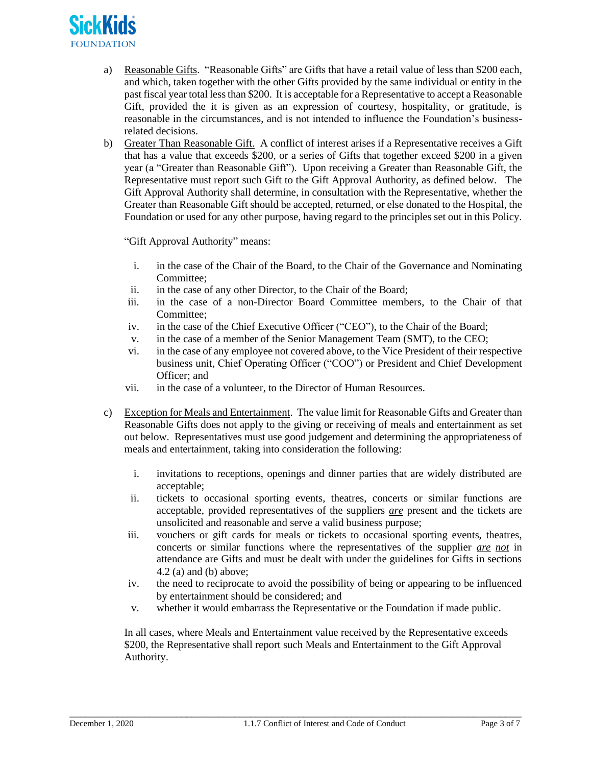

- a) Reasonable Gifts. "Reasonable Gifts" are Gifts that have a retail value of less than \$200 each, and which, taken together with the other Gifts provided by the same individual or entity in the past fiscal year total less than \$200. It is acceptable for a Representative to accept a Reasonable Gift, provided the it is given as an expression of courtesy, hospitality, or gratitude, is reasonable in the circumstances, and is not intended to influence the Foundation's businessrelated decisions.
- b) Greater Than Reasonable Gift. A conflict of interest arises if a Representative receives a Gift that has a value that exceeds \$200, or a series of Gifts that together exceed \$200 in a given year (a "Greater than Reasonable Gift"). Upon receiving a Greater than Reasonable Gift, the Representative must report such Gift to the Gift Approval Authority, as defined below. The Gift Approval Authority shall determine, in consultation with the Representative, whether the Greater than Reasonable Gift should be accepted, returned, or else donated to the Hospital, the Foundation or used for any other purpose, having regard to the principles set out in this Policy.

"Gift Approval Authority" means:

- i. in the case of the Chair of the Board, to the Chair of the Governance and Nominating Committee;
- ii. in the case of any other Director, to the Chair of the Board;
- iii. in the case of a non-Director Board Committee members, to the Chair of that Committee;
- iv. in the case of the Chief Executive Officer ("CEO"), to the Chair of the Board;
- v. in the case of a member of the Senior Management Team (SMT), to the CEO;
- vi. in the case of any employee not covered above, to the Vice President of their respective business unit, Chief Operating Officer ("COO") or President and Chief Development Officer; and
- vii. in the case of a volunteer, to the Director of Human Resources.
- c) Exception for Meals and Entertainment. The value limit for Reasonable Gifts and Greater than Reasonable Gifts does not apply to the giving or receiving of meals and entertainment as set out below. Representatives must use good judgement and determining the appropriateness of meals and entertainment, taking into consideration the following:
	- i. invitations to receptions, openings and dinner parties that are widely distributed are acceptable;
	- ii. tickets to occasional sporting events, theatres, concerts or similar functions are acceptable, provided representatives of the suppliers *are* present and the tickets are unsolicited and reasonable and serve a valid business purpose;
	- iii. vouchers or gift cards for meals or tickets to occasional sporting events, theatres, concerts or similar functions where the representatives of the supplier *are not* in attendance are Gifts and must be dealt with under the guidelines for Gifts in sections 4.2 (a) and (b) above;
	- iv. the need to reciprocate to avoid the possibility of being or appearing to be influenced by entertainment should be considered; and
	- v. whether it would embarrass the Representative or the Foundation if made public.

In all cases, where Meals and Entertainment value received by the Representative exceeds \$200, the Representative shall report such Meals and Entertainment to the Gift Approval Authority.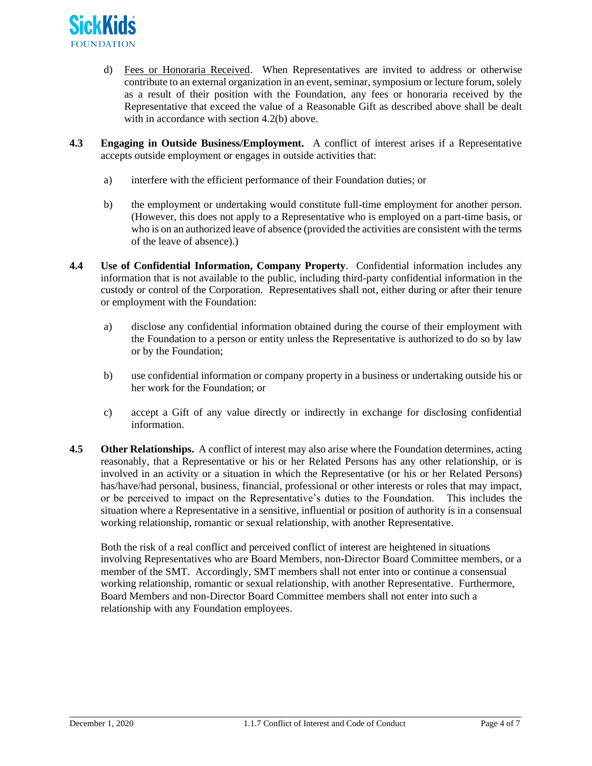

- d) Fees or Honoraria Received. When Representatives are invited to address or otherwise contribute to an external organization in an event, seminar, symposium or lecture forum, solely as a result of their position with the Foundation, any fees or honoraria received by the Representative that exceed the value of a Reasonable Gift as described above shall be dealt with in accordance with section 4.2(b) above.
- **4.3 Engaging in Outside Business/Employment.** A conflict of interest arises if a Representative accepts outside employment or engages in outside activities that:
	- a) interfere with the efficient performance of their Foundation duties; or
	- b) the employment or undertaking would constitute full-time employment for another person. (However, this does not apply to a Representative who is employed on a part-time basis, or who is on an authorized leave of absence (provided the activities are consistent with the terms of the leave of absence).)
- **4.4 Use of Confidential Information, Company Property**. Confidential information includes any information that is not available to the public, including third-party confidential information in the custody or control of the Corporation. Representatives shall not, either during or after their tenure or employment with the Foundation:
	- a) disclose any confidential information obtained during the course of their employment with the Foundation to a person or entity unless the Representative is authorized to do so by law or by the Foundation;
	- b) use confidential information or company property in a business or undertaking outside his or her work for the Foundation; or
	- c) accept a Gift of any value directly or indirectly in exchange for disclosing confidential information.
- **4.5 Other Relationships.** A conflict of interest may also arise where the Foundation determines, acting reasonably, that a Representative or his or her Related Persons has any other relationship, or is involved in an activity or a situation in which the Representative (or his or her Related Persons) has/have/had personal, business, financial, professional or other interests or roles that may impact, or be perceived to impact on the Representative's duties to the Foundation. This includes the situation where a Representative in a sensitive, influential or position of authority is in a consensual working relationship, romantic or sexual relationship, with another Representative.

Both the risk of a real conflict and perceived conflict of interest are heightened in situations involving Representatives who are Board Members, non-Director Board Committee members, or a member of the SMT. Accordingly, SMT members shall not enter into or continue a consensual working relationship, romantic or sexual relationship, with another Representative. Furthermore, Board Members and non-Director Board Committee members shall not enter into such a relationship with any Foundation employees.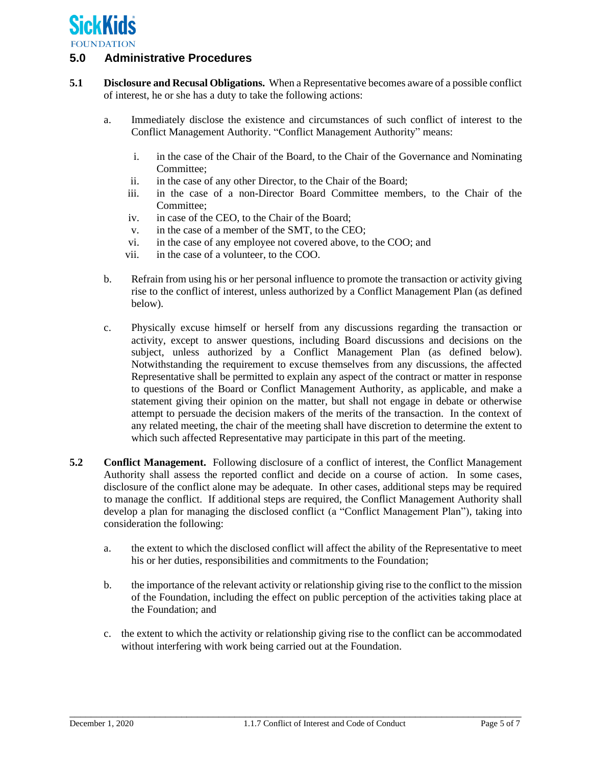

## **5.0 Administrative Procedures**

- **5.1 Disclosure and Recusal Obligations.** When a Representative becomes aware of a possible conflict of interest, he or she has a duty to take the following actions:
	- a. Immediately disclose the existence and circumstances of such conflict of interest to the Conflict Management Authority. "Conflict Management Authority" means:
		- i. in the case of the Chair of the Board, to the Chair of the Governance and Nominating Committee;
		- ii. in the case of any other Director, to the Chair of the Board;
		- iii. in the case of a non-Director Board Committee members, to the Chair of the Committee;
		- iv. in case of the CEO, to the Chair of the Board;
		- v. in the case of a member of the SMT, to the CEO;
		- vi. in the case of any employee not covered above, to the COO; and
		- vii. in the case of a volunteer, to the COO.
	- b. Refrain from using his or her personal influence to promote the transaction or activity giving rise to the conflict of interest, unless authorized by a Conflict Management Plan (as defined below).
	- c. Physically excuse himself or herself from any discussions regarding the transaction or activity, except to answer questions, including Board discussions and decisions on the subject, unless authorized by a Conflict Management Plan (as defined below). Notwithstanding the requirement to excuse themselves from any discussions, the affected Representative shall be permitted to explain any aspect of the contract or matter in response to questions of the Board or Conflict Management Authority, as applicable, and make a statement giving their opinion on the matter, but shall not engage in debate or otherwise attempt to persuade the decision makers of the merits of the transaction. In the context of any related meeting, the chair of the meeting shall have discretion to determine the extent to which such affected Representative may participate in this part of the meeting.
- **5.2 Conflict Management.** Following disclosure of a conflict of interest, the Conflict Management Authority shall assess the reported conflict and decide on a course of action. In some cases, disclosure of the conflict alone may be adequate. In other cases, additional steps may be required to manage the conflict. If additional steps are required, the Conflict Management Authority shall develop a plan for managing the disclosed conflict (a "Conflict Management Plan"), taking into consideration the following:
	- a. the extent to which the disclosed conflict will affect the ability of the Representative to meet his or her duties, responsibilities and commitments to the Foundation;
	- b. the importance of the relevant activity or relationship giving rise to the conflict to the mission of the Foundation, including the effect on public perception of the activities taking place at the Foundation; and
	- c. the extent to which the activity or relationship giving rise to the conflict can be accommodated without interfering with work being carried out at the Foundation.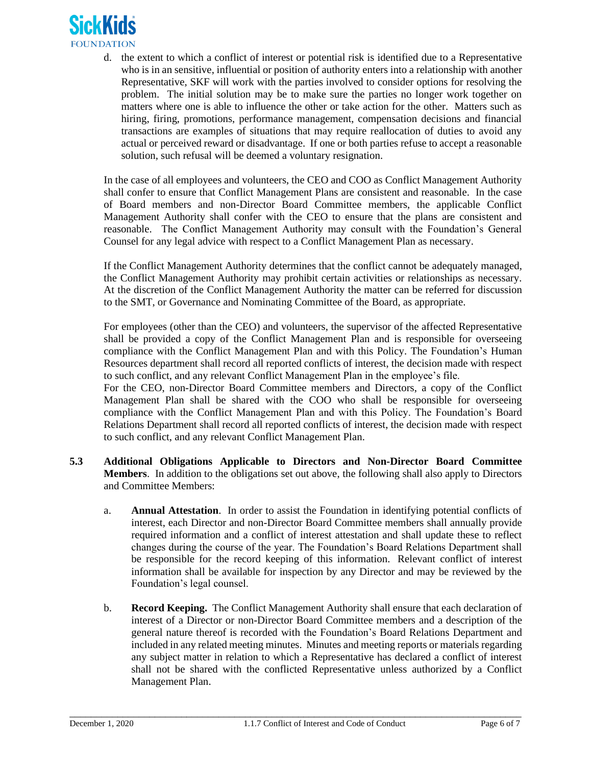

d. the extent to which a conflict of interest or potential risk is identified due to a Representative who is in an sensitive, influential or position of authority enters into a relationship with another Representative, SKF will work with the parties involved to consider options for resolving the problem. The initial solution may be to make sure the parties no longer work together on matters where one is able to influence the other or take action for the other. Matters such as hiring, firing, promotions, performance management, compensation decisions and financial transactions are examples of situations that may require reallocation of duties to avoid any actual or perceived reward or disadvantage. If one or both parties refuse to accept a reasonable solution, such refusal will be deemed a voluntary resignation.

In the case of all employees and volunteers, the CEO and COO as Conflict Management Authority shall confer to ensure that Conflict Management Plans are consistent and reasonable. In the case of Board members and non-Director Board Committee members, the applicable Conflict Management Authority shall confer with the CEO to ensure that the plans are consistent and reasonable. The Conflict Management Authority may consult with the Foundation's General Counsel for any legal advice with respect to a Conflict Management Plan as necessary.

If the Conflict Management Authority determines that the conflict cannot be adequately managed, the Conflict Management Authority may prohibit certain activities or relationships as necessary. At the discretion of the Conflict Management Authority the matter can be referred for discussion to the SMT, or Governance and Nominating Committee of the Board, as appropriate.

For employees (other than the CEO) and volunteers, the supervisor of the affected Representative shall be provided a copy of the Conflict Management Plan and is responsible for overseeing compliance with the Conflict Management Plan and with this Policy. The Foundation's Human Resources department shall record all reported conflicts of interest, the decision made with respect to such conflict, and any relevant Conflict Management Plan in the employee's file.

For the CEO, non-Director Board Committee members and Directors, a copy of the Conflict Management Plan shall be shared with the COO who shall be responsible for overseeing compliance with the Conflict Management Plan and with this Policy. The Foundation's Board Relations Department shall record all reported conflicts of interest, the decision made with respect to such conflict, and any relevant Conflict Management Plan.

- **5.3 Additional Obligations Applicable to Directors and Non-Director Board Committee Members**. In addition to the obligations set out above, the following shall also apply to Directors and Committee Members:
	- a. **Annual Attestation**. In order to assist the Foundation in identifying potential conflicts of interest, each Director and non-Director Board Committee members shall annually provide required information and a conflict of interest attestation and shall update these to reflect changes during the course of the year. The Foundation's Board Relations Department shall be responsible for the record keeping of this information. Relevant conflict of interest information shall be available for inspection by any Director and may be reviewed by the Foundation's legal counsel.
	- b. **Record Keeping.** The Conflict Management Authority shall ensure that each declaration of interest of a Director or non-Director Board Committee members and a description of the general nature thereof is recorded with the Foundation's Board Relations Department and included in any related meeting minutes. Minutes and meeting reports or materials regarding any subject matter in relation to which a Representative has declared a conflict of interest shall not be shared with the conflicted Representative unless authorized by a Conflict Management Plan.